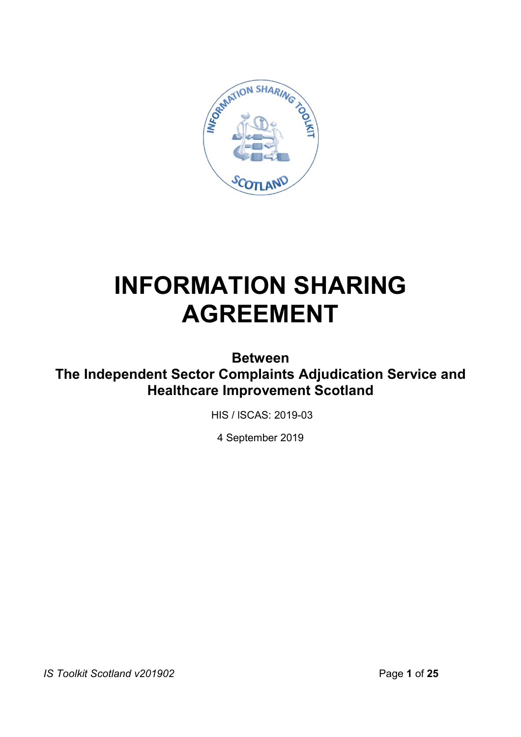

# **INFORMATION SHARING AGREEMENT**

**Between** 

**The Independent Sector Complaints Adjudication Service and Healthcare Improvement Scotland**

HIS / lSCAS: 2019-03

4 September 2019

*IS Toolkit Scotland v201902* Page 1 of 25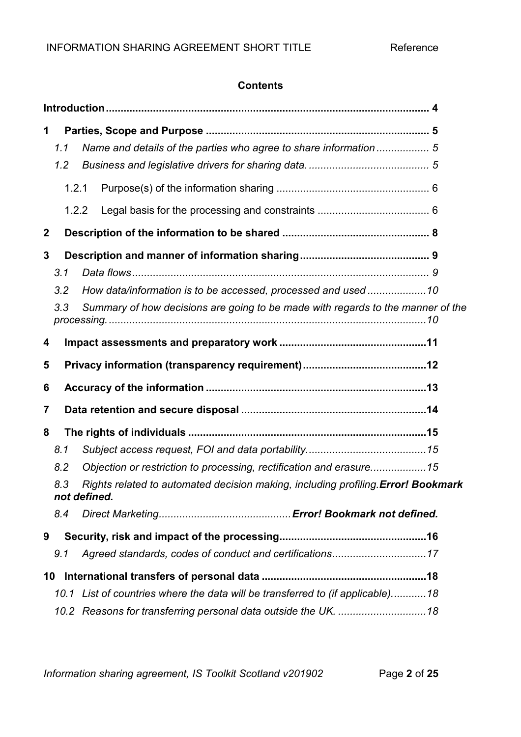## **Contents**

| 1           | 1.1<br>1.2<br>1.2.1<br>1.2.2                                                                            |                                                                                                                                                  |  |  |  |  |
|-------------|---------------------------------------------------------------------------------------------------------|--------------------------------------------------------------------------------------------------------------------------------------------------|--|--|--|--|
| $\mathbf 2$ |                                                                                                         |                                                                                                                                                  |  |  |  |  |
| 3           | 3.1<br>3.2<br>3.3                                                                                       | How data/information is to be accessed, processed and used 10<br>Summary of how decisions are going to be made with regards to the manner of the |  |  |  |  |
| 4           |                                                                                                         |                                                                                                                                                  |  |  |  |  |
| 5           |                                                                                                         |                                                                                                                                                  |  |  |  |  |
| 6           |                                                                                                         |                                                                                                                                                  |  |  |  |  |
| 7           |                                                                                                         |                                                                                                                                                  |  |  |  |  |
| 8           |                                                                                                         |                                                                                                                                                  |  |  |  |  |
|             | 8.1                                                                                                     |                                                                                                                                                  |  |  |  |  |
|             | 8.2                                                                                                     | Objection or restriction to processing, rectification and erasure15                                                                              |  |  |  |  |
|             | 8.3<br>Rights related to automated decision making, including profiling Error! Bookmark<br>not defined. |                                                                                                                                                  |  |  |  |  |
|             | 8.4                                                                                                     |                                                                                                                                                  |  |  |  |  |
| 9           |                                                                                                         |                                                                                                                                                  |  |  |  |  |
|             | 9.1                                                                                                     |                                                                                                                                                  |  |  |  |  |
| 10          |                                                                                                         |                                                                                                                                                  |  |  |  |  |
|             |                                                                                                         | 10.1 List of countries where the data will be transferred to (if applicable)18                                                                   |  |  |  |  |
|             |                                                                                                         |                                                                                                                                                  |  |  |  |  |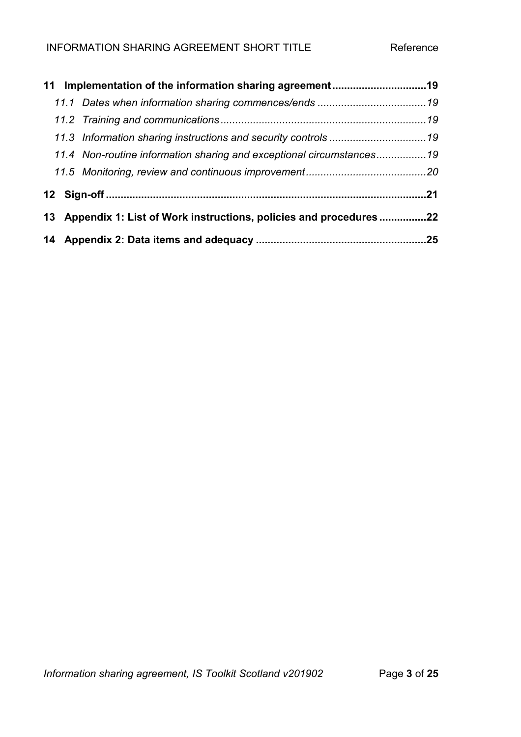|                                                                     | 11.4 Non-routine information sharing and exceptional circumstances19 |  |  |
|---------------------------------------------------------------------|----------------------------------------------------------------------|--|--|
|                                                                     |                                                                      |  |  |
|                                                                     |                                                                      |  |  |
| 13 Appendix 1: List of Work instructions, policies and procedures22 |                                                                      |  |  |
|                                                                     |                                                                      |  |  |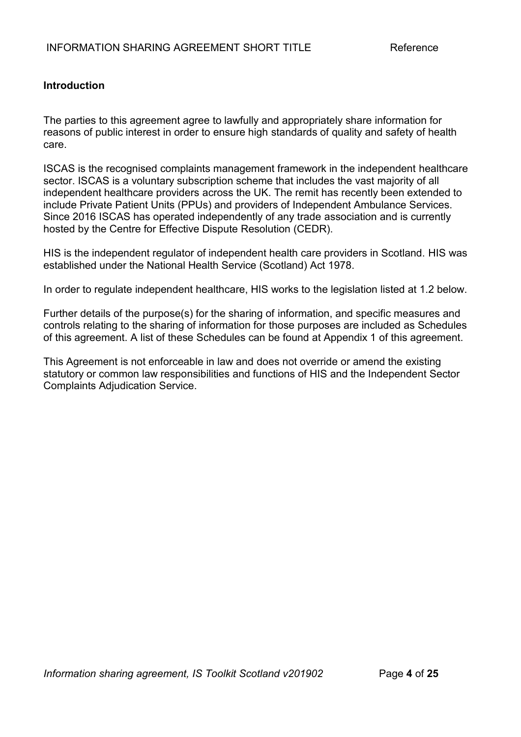## **Introduction**

The parties to this agreement agree to lawfully and appropriately share information for reasons of public interest in order to ensure high standards of quality and safety of health care.

ISCAS is the recognised complaints management framework in the independent healthcare sector. ISCAS is a voluntary subscription scheme that includes the vast majority of all independent healthcare providers across the UK. The remit has recently been extended to include Private Patient Units (PPUs) and providers of Independent Ambulance Services. Since 2016 ISCAS has operated independently of any trade association and is currently hosted by the Centre for Effective Dispute Resolution (CEDR).

HIS is the independent regulator of independent health care providers in Scotland. HIS was established under the National Health Service (Scotland) Act 1978.

In order to regulate independent healthcare, HIS works to the legislation listed at 1.2 below.

Further details of the purpose(s) for the sharing of information, and specific measures and controls relating to the sharing of information for those purposes are included as Schedules of this agreement. A list of these Schedules can be found at Appendix 1 of this agreement.

This Agreement is not enforceable in law and does not override or amend the existing statutory or common law responsibilities and functions of HIS and the Independent Sector Complaints Adjudication Service.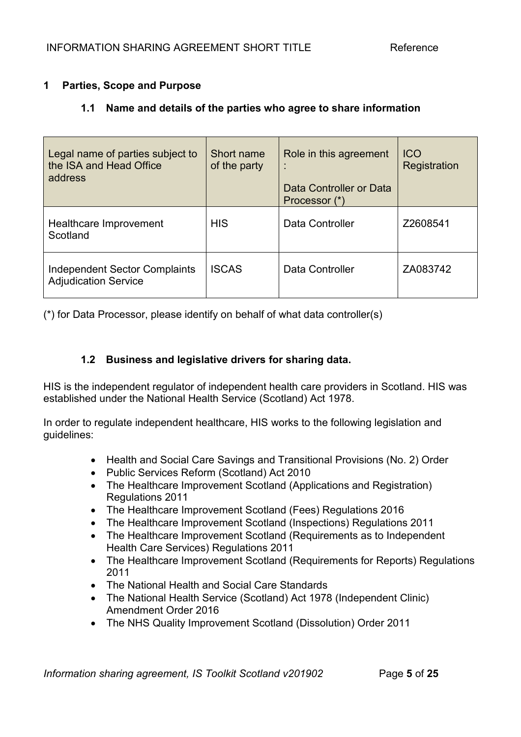## **1 Parties, Scope and Purpose**

## **1.1 Name and details of the parties who agree to share information**

| Legal name of parties subject to<br>the ISA and Head Office<br>address | Short name<br>of the party | Role in this agreement<br>Data Controller or Data<br>Processor (*) | <b>ICO</b><br>Registration |
|------------------------------------------------------------------------|----------------------------|--------------------------------------------------------------------|----------------------------|
| Healthcare Improvement<br>Scotland                                     | <b>HIS</b>                 | Data Controller                                                    | Z2608541                   |
| <b>Independent Sector Complaints</b><br><b>Adjudication Service</b>    | <b>ISCAS</b>               | Data Controller                                                    | ZA083742                   |

(\*) for Data Processor, please identify on behalf of what data controller(s)

## **1.2 Business and legislative drivers for sharing data.**

HIS is the independent regulator of independent health care providers in Scotland. HIS was established under the National Health Service (Scotland) Act 1978.

In order to regulate independent healthcare, HIS works to the following legislation and guidelines:

- Health and Social Care Savings and Transitional Provisions (No. 2) Order
- Public Services Reform (Scotland) Act 2010
- The Healthcare Improvement Scotland (Applications and Registration) Regulations 2011
- The Healthcare Improvement Scotland (Fees) Regulations 2016
- The Healthcare Improvement Scotland (Inspections) Regulations 2011
- The Healthcare Improvement Scotland (Requirements as to Independent Health Care Services) Regulations 2011
- The Healthcare Improvement Scotland (Requirements for Reports) Regulations 2011
- The National Health and Social Care Standards
- The National Health Service (Scotland) Act 1978 (Independent Clinic) Amendment Order 2016
- The NHS Quality Improvement Scotland (Dissolution) Order 2011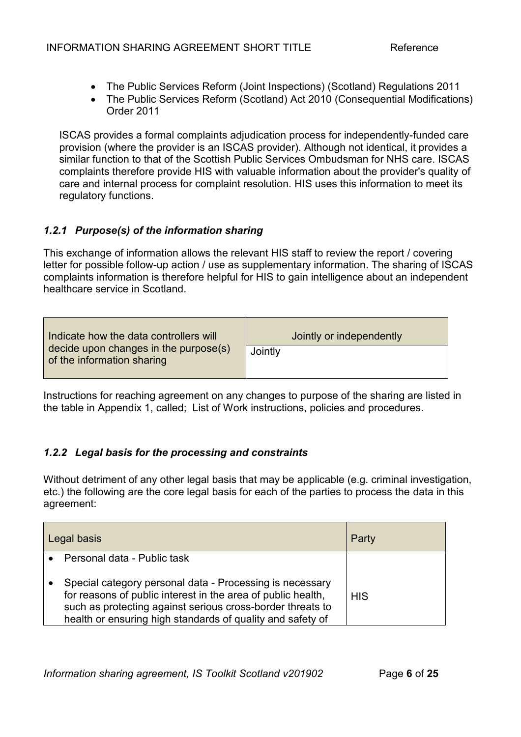- The Public Services Reform (Joint Inspections) (Scotland) Regulations 2011
- The Public Services Reform (Scotland) Act 2010 (Consequential Modifications) Order 2011

ISCAS provides a formal complaints adjudication process for independently-funded care provision (where the provider is an ISCAS provider). Although not identical, it provides a similar function to that of the Scottish Public Services Ombudsman for NHS care. ISCAS complaints therefore provide HIS with valuable information about the provider's quality of care and internal process for complaint resolution. HIS uses this information to meet its regulatory functions.

## *1.2.1 Purpose(s) of the information sharing*

This exchange of information allows the relevant HIS staff to review the report / covering letter for possible follow-up action / use as supplementary information. The sharing of ISCAS complaints information is therefore helpful for HIS to gain intelligence about an independent healthcare service in Scotland.

| Indicate how the data controllers will<br>decide upon changes in the purpose(s)<br>of the information sharing | Jointly or independently |
|---------------------------------------------------------------------------------------------------------------|--------------------------|
|                                                                                                               | Jointly                  |

Instructions for reaching agreement on any changes to purpose of the sharing are listed in the table in Appendix 1, called; List of Work instructions, policies and procedures.

## *1.2.2 Legal basis for the processing and constraints*

Without detriment of any other legal basis that may be applicable (e.g. criminal investigation, etc.) the following are the core legal basis for each of the parties to process the data in this agreement:

| Legal basis |                                                                                                                                                                                                                                                      | Party      |
|-------------|------------------------------------------------------------------------------------------------------------------------------------------------------------------------------------------------------------------------------------------------------|------------|
|             | Personal data - Public task                                                                                                                                                                                                                          |            |
|             | Special category personal data - Processing is necessary<br>for reasons of public interest in the area of public health,<br>such as protecting against serious cross-border threats to<br>health or ensuring high standards of quality and safety of | <b>HIS</b> |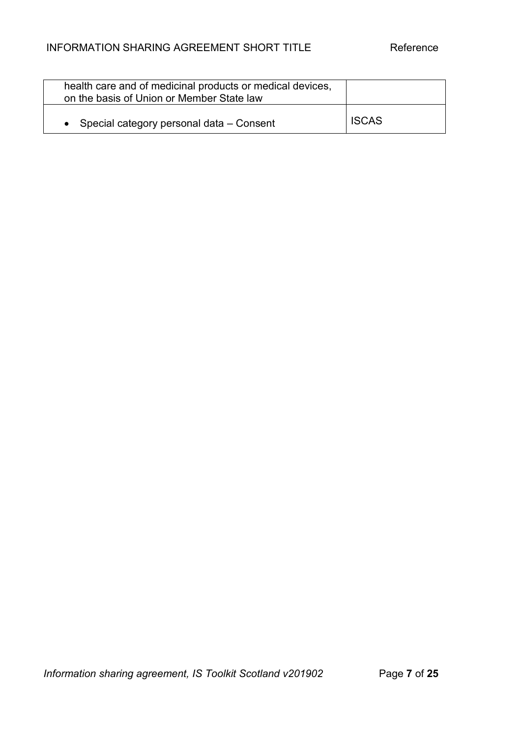| health care and of medicinal products or medical devices,<br>on the basis of Union or Member State law |              |
|--------------------------------------------------------------------------------------------------------|--------------|
| • Special category personal data $-$ Consent                                                           | <b>ISCAS</b> |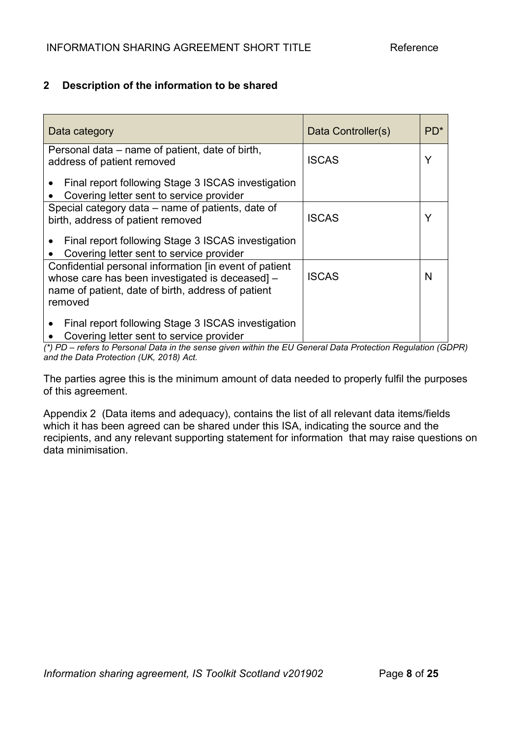## **2 Description of the information to be shared**

| Data category                                                                                                                                                             | Data Controller(s) | $PD^*$ |
|---------------------------------------------------------------------------------------------------------------------------------------------------------------------------|--------------------|--------|
| Personal data – name of patient, date of birth,<br>address of patient removed                                                                                             | <b>ISCAS</b>       | Y      |
| Final report following Stage 3 ISCAS investigation<br>Covering letter sent to service provider                                                                            |                    |        |
| Special category data – name of patients, date of<br>birth, address of patient removed                                                                                    | <b>ISCAS</b>       | Y      |
| Final report following Stage 3 ISCAS investigation<br>Covering letter sent to service provider                                                                            |                    |        |
| Confidential personal information [in event of patient<br>whose care has been investigated is deceased -<br>name of patient, date of birth, address of patient<br>removed | <b>ISCAS</b>       | N      |
| Final report following Stage 3 ISCAS investigation<br>Covering letter sent to service provider                                                                            |                    |        |

*(\*) PD – refers to Personal Data in the sense given within the EU General Data Protection Regulation (GDPR) and the Data Protection (UK, 2018) Act.*

The parties agree this is the minimum amount of data needed to properly fulfil the purposes of this agreement.

Appendix 2 (Data items and adequacy), contains the list of all relevant data items/fields which it has been agreed can be shared under this ISA, indicating the source and the recipients, and any relevant supporting statement for information that may raise questions on data minimisation.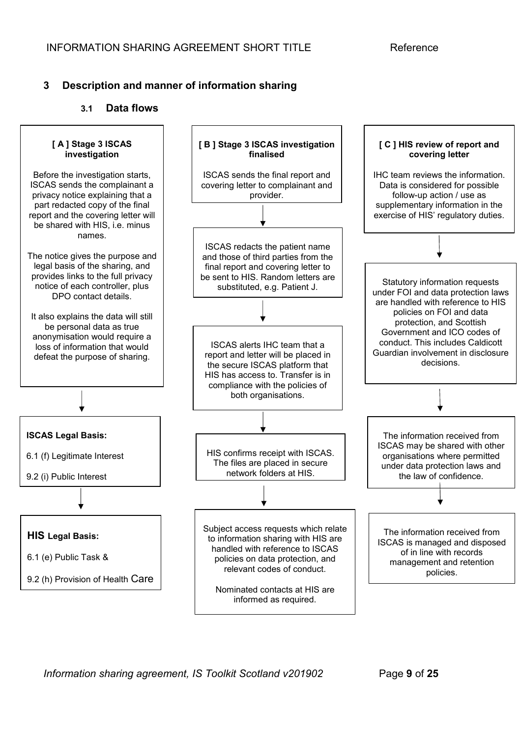## **3 Description and manner of information sharing**

#### **3.1 Data flows**



*Information sharing agreement, IS Toolkit Scotland v201902* Page **9** of **25**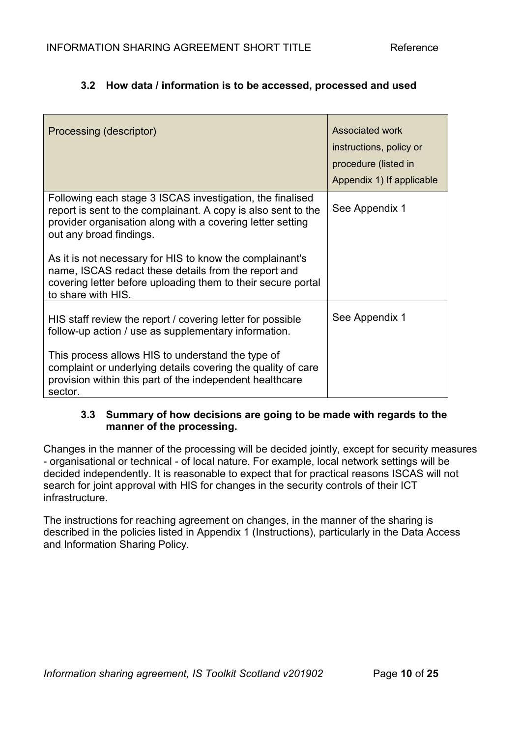## **3.2 How data / information is to be accessed, processed and used**

| Processing (descriptor)                                                                                                                                                                                             | Associated work<br>instructions, policy or<br>procedure (listed in<br>Appendix 1) If applicable |
|---------------------------------------------------------------------------------------------------------------------------------------------------------------------------------------------------------------------|-------------------------------------------------------------------------------------------------|
| Following each stage 3 ISCAS investigation, the finalised<br>report is sent to the complainant. A copy is also sent to the<br>provider organisation along with a covering letter setting<br>out any broad findings. | See Appendix 1                                                                                  |
| As it is not necessary for HIS to know the complainant's<br>name, ISCAS redact these details from the report and<br>covering letter before uploading them to their secure portal<br>to share with HIS.              |                                                                                                 |
| HIS staff review the report / covering letter for possible<br>follow-up action / use as supplementary information.                                                                                                  | See Appendix 1                                                                                  |
| This process allows HIS to understand the type of<br>complaint or underlying details covering the quality of care<br>provision within this part of the independent healthcare<br>sector.                            |                                                                                                 |

## **3.3 Summary of how decisions are going to be made with regards to the manner of the processing.**

Changes in the manner of the processing will be decided jointly, except for security measures - organisational or technical - of local nature. For example, local network settings will be decided independently. It is reasonable to expect that for practical reasons ISCAS will not search for joint approval with HIS for changes in the security controls of their ICT infrastructure.

The instructions for reaching agreement on changes, in the manner of the sharing is described in the policies listed in Appendix 1 (Instructions), particularly in the Data Access and Information Sharing Policy.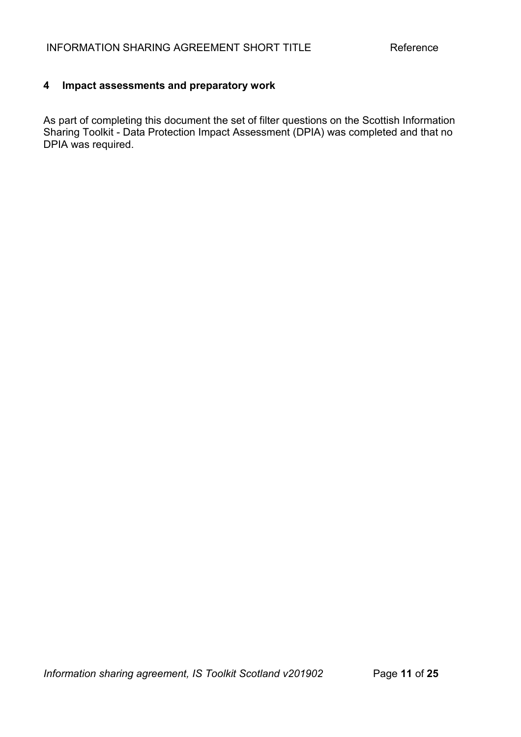## **4 Impact assessments and preparatory work**

As part of completing this document the set of filter questions on the Scottish Information Sharing Toolkit - Data Protection Impact Assessment (DPIA) was completed and that no DPIA was required.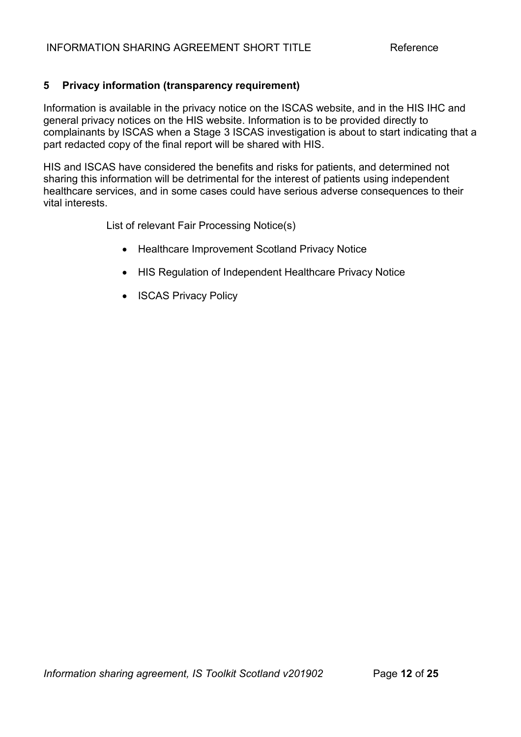## **5 Privacy information (transparency requirement)**

Information is available in the privacy notice on the ISCAS website, and in the HIS IHC and general privacy notices on the HIS website. Information is to be provided directly to complainants by ISCAS when a Stage 3 ISCAS investigation is about to start indicating that a part redacted copy of the final report will be shared with HIS.

HIS and ISCAS have considered the benefits and risks for patients, and determined not sharing this information will be detrimental for the interest of patients using independent healthcare services, and in some cases could have serious adverse consequences to their vital interests.

List of relevant Fair Processing Notice(s)

- Healthcare Improvement Scotland Privacy Notice
- HIS Regulation of Independent Healthcare Privacy Notice
- ISCAS Privacy Policy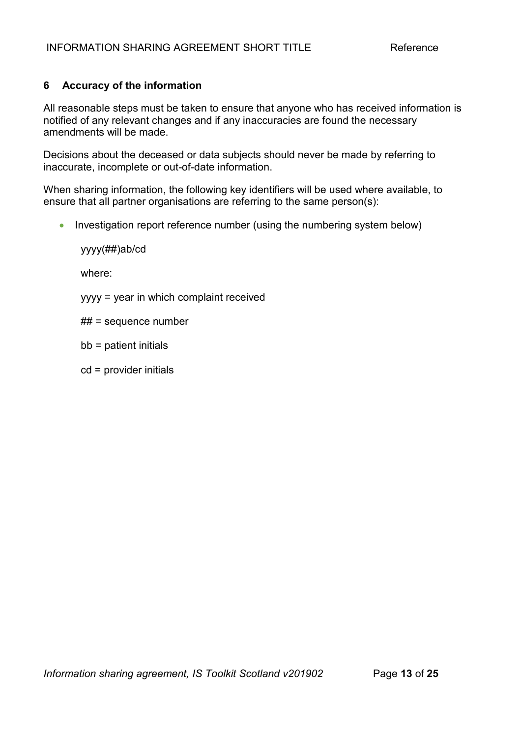## **6 Accuracy of the information**

All reasonable steps must be taken to ensure that anyone who has received information is notified of any relevant changes and if any inaccuracies are found the necessary amendments will be made.

Decisions about the deceased or data subjects should never be made by referring to inaccurate, incomplete or out-of-date information.

When sharing information, the following key identifiers will be used where available, to ensure that all partner organisations are referring to the same person(s):

• Investigation report reference number (using the numbering system below)

yyyy(##)ab/cd

where:

yyyy = year in which complaint received

## = sequence number

bb = patient initials

cd = provider initials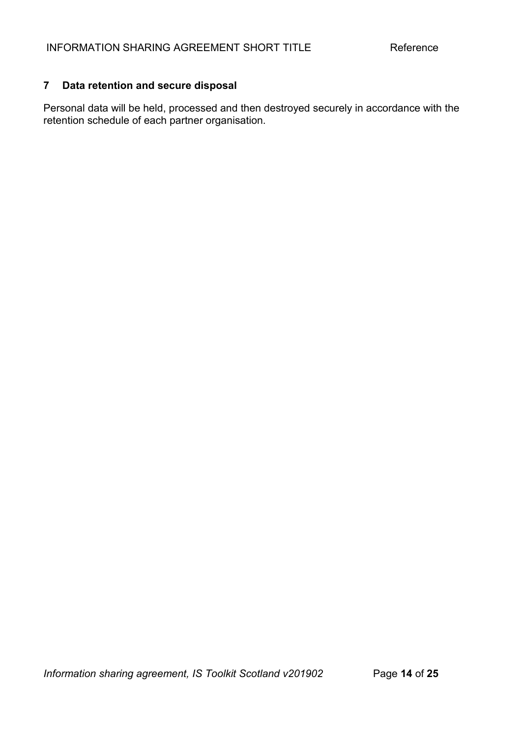## **7 Data retention and secure disposal**

Personal data will be held, processed and then destroyed securely in accordance with the retention schedule of each partner organisation.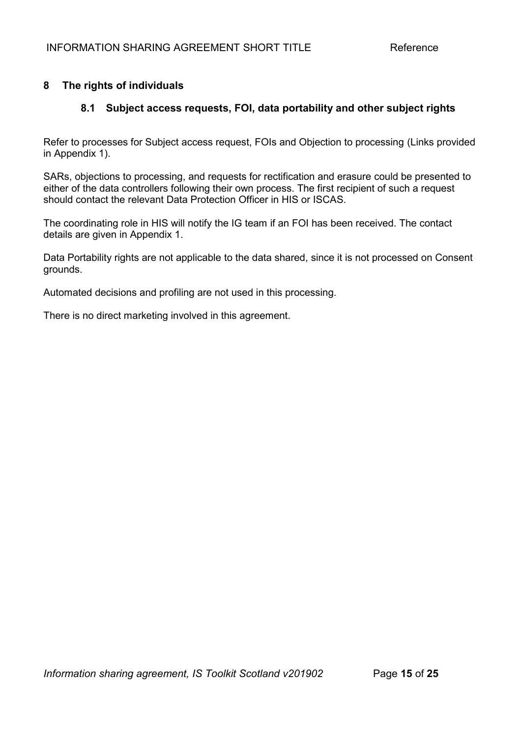## **8 The rights of individuals**

## **8.1 Subject access requests, FOI, data portability and other subject rights**

Refer to processes for Subject access request, FOIs and Objection to processing (Links provided in Appendix 1).

SARs, objections to processing, and requests for rectification and erasure could be presented to either of the data controllers following their own process. The first recipient of such a request should contact the relevant Data Protection Officer in HIS or ISCAS.

The coordinating role in HIS will notify the IG team if an FOI has been received. The contact details are given in Appendix 1.

Data Portability rights are not applicable to the data shared, since it is not processed on Consent grounds.

Automated decisions and profiling are not used in this processing.

There is no direct marketing involved in this agreement.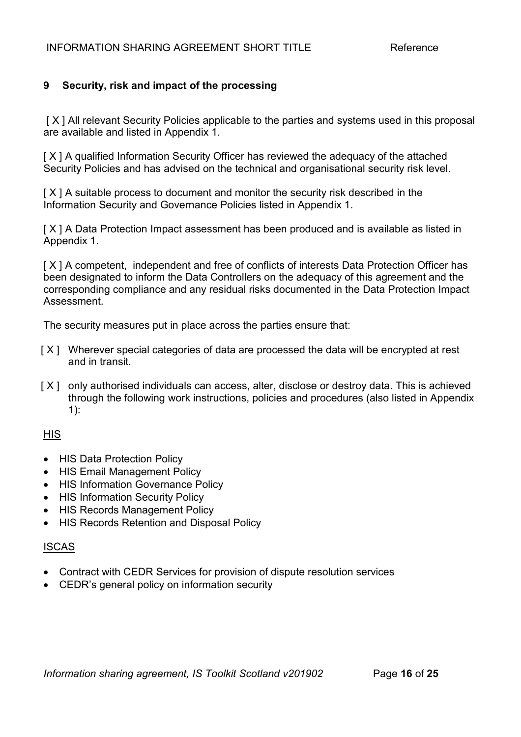## **9 Security, risk and impact of the processing**

[X] All relevant Security Policies applicable to the parties and systems used in this proposal are available and listed in Appendix 1.

[X] A qualified Information Security Officer has reviewed the adequacy of the attached Security Policies and has advised on the technical and organisational security risk level.

[ X ] A suitable process to document and monitor the security risk described in the Information Security and Governance Policies listed in Appendix 1.

[X] A Data Protection Impact assessment has been produced and is available as listed in Appendix 1.

[X] A competent, independent and free of conflicts of interests Data Protection Officer has been designated to inform the Data Controllers on the adequacy of this agreement and the corresponding compliance and any residual risks documented in the Data Protection Impact Assessment.

The security measures put in place across the parties ensure that:

- [ $X$ ] Wherever special categories of data are processed the data will be encrypted at rest and in transit.
- [X] only authorised individuals can access, alter, disclose or destroy data. This is achieved through the following work instructions, policies and procedures (also listed in Appendix  $1$ ):

#### **HIS**

- HIS Data Protection Policy
- HIS Email Management Policy
- HIS Information Governance Policy
- HIS Information Security Policy
- **HIS Records Management Policy**
- HIS Records Retention and Disposal Policy

#### ISCAS

- Contract with CEDR Services for provision of dispute resolution services
- CEDR's general policy on information security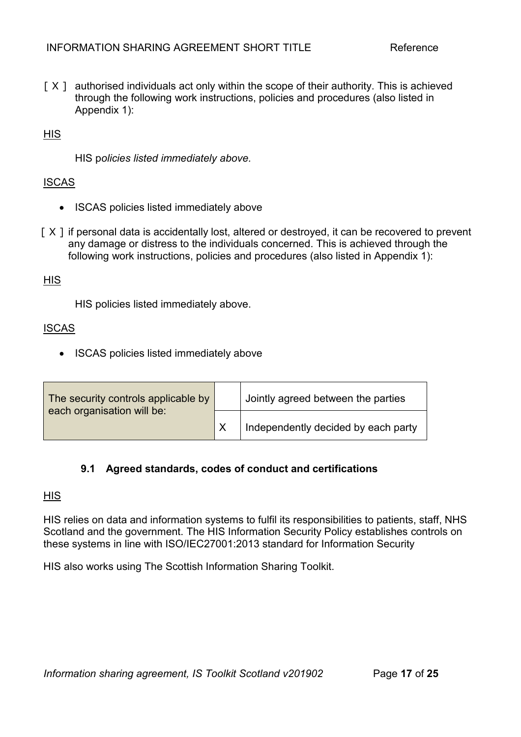[ $X$ ] authorised individuals act only within the scope of their authority. This is achieved through the following work instructions, policies and procedures (also listed in Appendix 1):

## **HIS**

HIS p*olicies listed immediately above.*

#### **ISCAS**

- ISCAS policies listed immediately above
- [ $X$ ] if personal data is accidentally lost, altered or destroyed, it can be recovered to prevent any damage or distress to the individuals concerned. This is achieved through the following work instructions, policies and procedures (also listed in Appendix 1):

#### **HIS**

HIS policies listed immediately above.

#### ISCAS

• ISCAS policies listed immediately above

| The security controls applicable by<br>each organisation will be: |  | Jointly agreed between the parties  |
|-------------------------------------------------------------------|--|-------------------------------------|
|                                                                   |  | Independently decided by each party |

#### **9.1 Agreed standards, codes of conduct and certifications**

#### **HIS**

HIS relies on data and information systems to fulfil its responsibilities to patients, staff, NHS Scotland and the government. The HIS Information Security Policy establishes controls on these systems in line with ISO/IEC27001:2013 standard for Information Security

HIS also works using The Scottish Information Sharing Toolkit.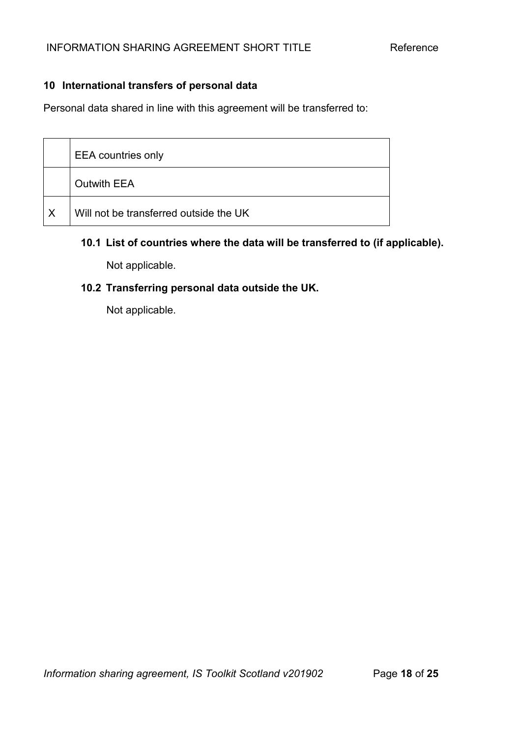## **10 International transfers of personal data**

Personal data shared in line with this agreement will be transferred to:

|                         | <b>EEA</b> countries only              |
|-------------------------|----------------------------------------|
|                         | <b>Outwith EEA</b>                     |
| $\mathsf{I} \mathsf{X}$ | Will not be transferred outside the UK |

## **10.1 List of countries where the data will be transferred to (if applicable).**

Not applicable.

## **10.2 Transferring personal data outside the UK.**

Not applicable.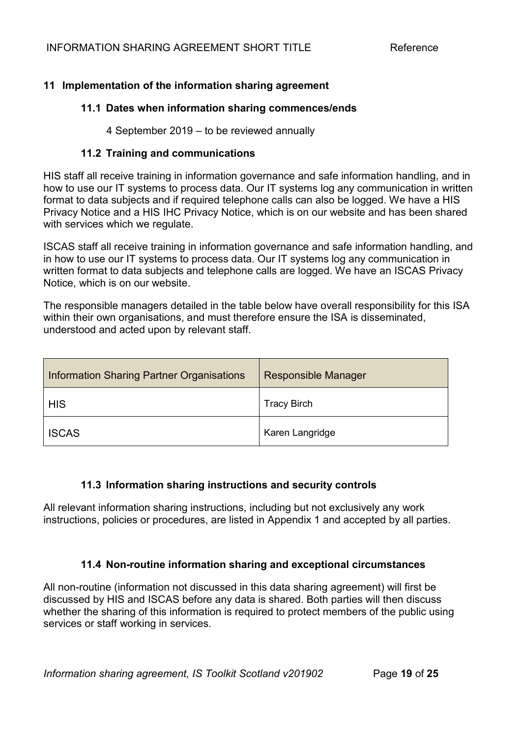## **11 Implementation of the information sharing agreement**

#### **11.1 Dates when information sharing commences/ends**

4 September 2019 – to be reviewed annually

#### **11.2 Training and communications**

HIS staff all receive training in information governance and safe information handling, and in how to use our IT systems to process data. Our IT systems log any communication in written format to data subjects and if required telephone calls can also be logged. We have a HIS Privacy Notice and a HIS IHC Privacy Notice, which is on our website and has been shared with services which we regulate.

ISCAS staff all receive training in information governance and safe information handling, and in how to use our IT systems to process data. Our IT systems log any communication in written format to data subjects and telephone calls are logged. We have an ISCAS Privacy Notice, which is on our website.

The responsible managers detailed in the table below have overall responsibility for this ISA within their own organisations, and must therefore ensure the ISA is disseminated, understood and acted upon by relevant staff.

| Information Sharing Partner Organisations | <b>Responsible Manager</b> |
|-------------------------------------------|----------------------------|
| <b>HIS</b>                                | <b>Tracy Birch</b>         |
| <b>ISCAS</b>                              | Karen Langridge            |

#### **11.3 Information sharing instructions and security controls**

All relevant information sharing instructions, including but not exclusively any work instructions, policies or procedures, are listed in Appendix 1 and accepted by all parties.

#### **11.4 Non-routine information sharing and exceptional circumstances**

All non-routine (information not discussed in this data sharing agreement) will first be discussed by HIS and ISCAS before any data is shared. Both parties will then discuss whether the sharing of this information is required to protect members of the public using services or staff working in services.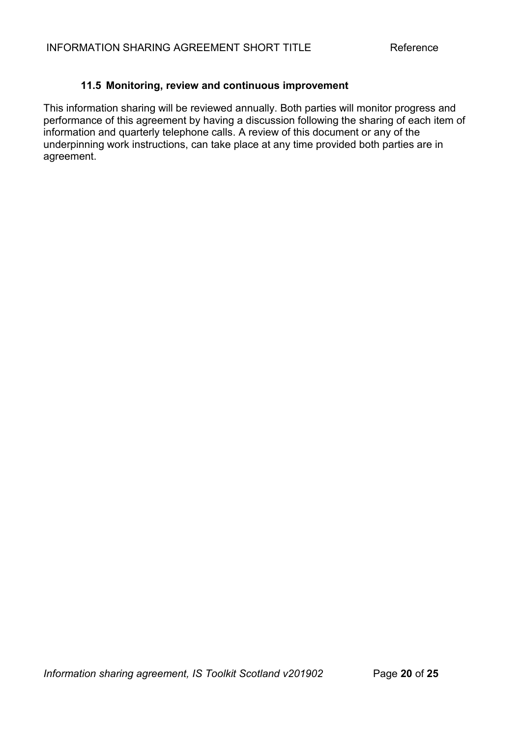## **11.5 Monitoring, review and continuous improvement**

This information sharing will be reviewed annually. Both parties will monitor progress and performance of this agreement by having a discussion following the sharing of each item of information and quarterly telephone calls. A review of this document or any of the underpinning work instructions, can take place at any time provided both parties are in agreement.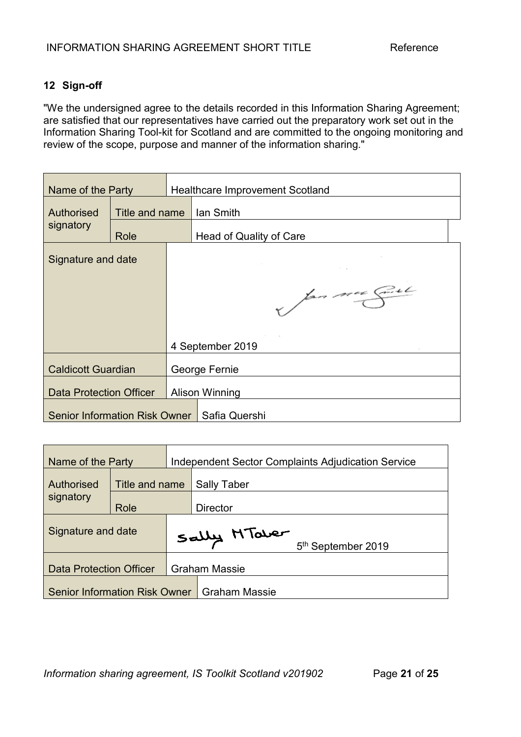## **12 Sign-off**

"We the undersigned agree to the details recorded in this Information Sharing Agreement; are satisfied that our representatives have carried out the preparatory work set out in the Information Sharing Tool-kit for Scotland and are committed to the ongoing monitoring and review of the scope, purpose and manner of the information sharing."

| Name of the Party              |                |                  | <b>Healthcare Improvement Scotland</b>        |  |
|--------------------------------|----------------|------------------|-----------------------------------------------|--|
| Authorised                     | Title and name |                  | lan Smith                                     |  |
| signatory                      | Role           |                  | Head of Quality of Care                       |  |
| Signature and date             |                |                  |                                               |  |
|                                |                |                  |                                               |  |
|                                |                |                  | par mon Cial                                  |  |
|                                |                |                  |                                               |  |
|                                |                | 4 September 2019 |                                               |  |
| <b>Caldicott Guardian</b>      |                | George Fernie    |                                               |  |
| <b>Data Protection Officer</b> |                |                  | <b>Alison Winning</b>                         |  |
|                                |                |                  | Senior Information Risk Owner   Safia Quershi |  |

| Name of the Party                    |                | <b>Independent Sector Complaints Adjudication Service</b> |                      |  |
|--------------------------------------|----------------|-----------------------------------------------------------|----------------------|--|
| Authorised                           | Title and name |                                                           | <b>Sally Taber</b>   |  |
| signatory                            | Role           |                                                           | <b>Director</b>      |  |
| Signature and date                   |                | Sally HTaber<br>5 <sup>th</sup> September 2019            |                      |  |
| <b>Data Protection Officer</b>       |                |                                                           | <b>Graham Massie</b> |  |
| <b>Senior Information Risk Owner</b> |                |                                                           | <b>Graham Massie</b> |  |

*Information sharing agreement, IS Toolkit Scotland v201902* Page **21** of **25**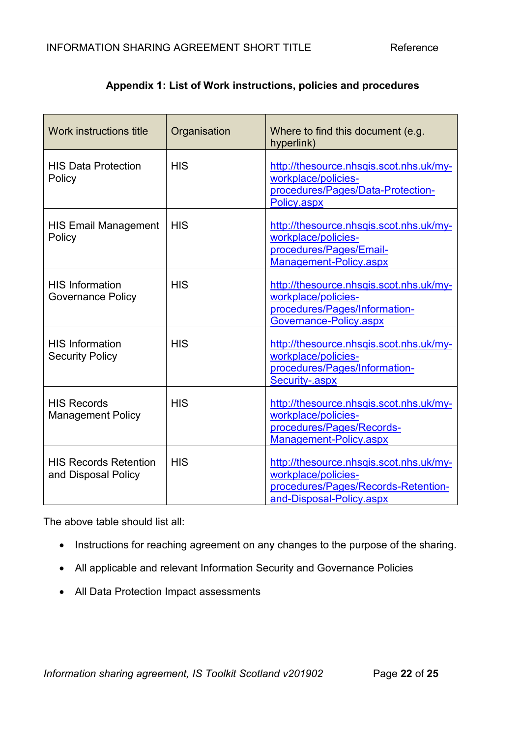## **Appendix 1: List of Work instructions, policies and procedures**

| Work instructions title                             | Organisation | Where to find this document (e.g.<br>hyperlink)                                                                                   |
|-----------------------------------------------------|--------------|-----------------------------------------------------------------------------------------------------------------------------------|
| <b>HIS Data Protection</b><br>Policy                | <b>HIS</b>   | http://thesource.nhsqis.scot.nhs.uk/my-<br>workplace/policies-<br>procedures/Pages/Data-Protection-<br>Policy.aspx                |
| <b>HIS Email Management</b><br>Policy               | <b>HIS</b>   | http://thesource.nhsqis.scot.nhs.uk/my-<br>workplace/policies-<br>procedures/Pages/Email-<br>Management-Policy.aspx               |
| <b>HIS Information</b><br><b>Governance Policy</b>  | <b>HIS</b>   | http://thesource.nhsqis.scot.nhs.uk/my-<br>workplace/policies-<br>procedures/Pages/Information-<br>Governance-Policy.aspx         |
| <b>HIS Information</b><br><b>Security Policy</b>    | <b>HIS</b>   | http://thesource.nhsqis.scot.nhs.uk/my-<br>workplace/policies-<br>procedures/Pages/Information-<br>Security-.aspx                 |
| <b>HIS Records</b><br><b>Management Policy</b>      | <b>HIS</b>   | http://thesource.nhsqis.scot.nhs.uk/my-<br>workplace/policies-<br>procedures/Pages/Records-<br>Management-Policy.aspx             |
| <b>HIS Records Retention</b><br>and Disposal Policy | <b>HIS</b>   | http://thesource.nhsqis.scot.nhs.uk/my-<br>workplace/policies-<br>procedures/Pages/Records-Retention-<br>and-Disposal-Policy.aspx |

The above table should list all:

- Instructions for reaching agreement on any changes to the purpose of the sharing.
- All applicable and relevant Information Security and Governance Policies
- All Data Protection Impact assessments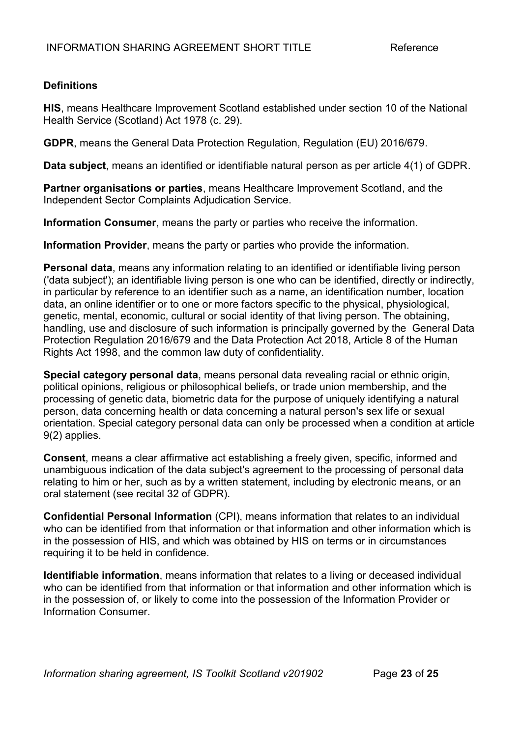## **Definitions**

**HIS**, means Healthcare Improvement Scotland established under section 10 of the National Health Service (Scotland) Act 1978 (c. 29).

**GDPR**, means the General Data Protection Regulation, Regulation (EU) 2016/679.

**Data subject**, means an identified or identifiable natural person as per article 4(1) of GDPR.

**Partner organisations or parties**, means Healthcare Improvement Scotland, and the Independent Sector Complaints Adjudication Service.

**Information Consumer**, means the party or parties who receive the information.

**Information Provider**, means the party or parties who provide the information.

**Personal data**, means any information relating to an identified or identifiable living person ('data subject'); an identifiable living person is one who can be identified, directly or indirectly, in particular by reference to an identifier such as a name, an identification number, location data, an online identifier or to one or more factors specific to the physical, physiological, genetic, mental, economic, cultural or social identity of that living person. The obtaining, handling, use and disclosure of such information is principally governed by the General Data Protection Regulation 2016/679 and the Data Protection Act 2018, Article 8 of the Human Rights Act 1998, and the common law duty of confidentiality.

**Special category personal data**, means personal data revealing racial or ethnic origin, political opinions, religious or philosophical beliefs, or trade union membership, and the processing of genetic data, biometric data for the purpose of uniquely identifying a natural person, data concerning health or data concerning a natural person's sex life or sexual orientation. Special category personal data can only be processed when a condition at article 9(2) applies.

**Consent**, means a clear affirmative act establishing a freely given, specific, informed and unambiguous indication of the data subject's agreement to the processing of personal data relating to him or her, such as by a written statement, including by electronic means, or an oral statement (see recital 32 of GDPR).

**Confidential Personal Information** (CPI), means information that relates to an individual who can be identified from that information or that information and other information which is in the possession of HIS, and which was obtained by HIS on terms or in circumstances requiring it to be held in confidence.

**Identifiable information**, means information that relates to a living or deceased individual who can be identified from that information or that information and other information which is in the possession of, or likely to come into the possession of the Information Provider or Information Consumer.

*Information sharing agreement, IS Toolkit Scotland v201902* Page **23** of **25**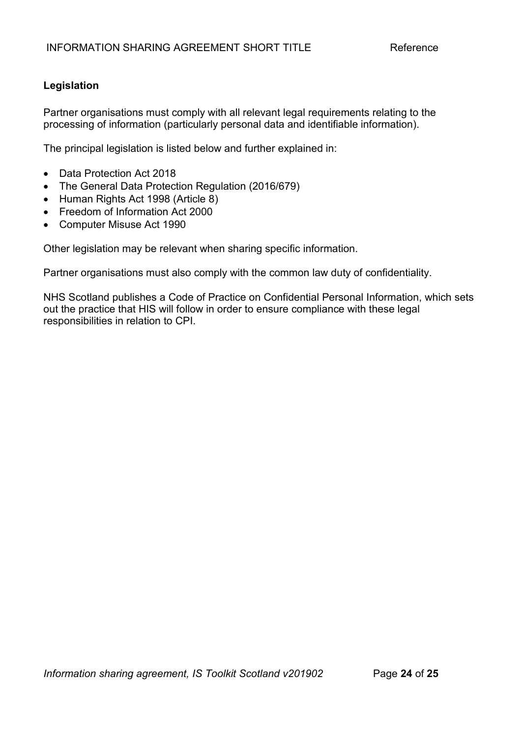## **Legislation**

Partner organisations must comply with all relevant legal requirements relating to the processing of information (particularly personal data and identifiable information).

The principal legislation is listed below and further explained in:

- Data Protection Act 2018
- The General Data Protection Regulation (2016/679)
- Human Rights Act 1998 (Article 8)
- Freedom of Information Act 2000
- Computer Misuse Act 1990

Other legislation may be relevant when sharing specific information.

Partner organisations must also comply with the common law duty of confidentiality.

NHS Scotland publishes a Code of Practice on Confidential Personal Information, which sets out the practice that HIS will follow in order to ensure compliance with these legal responsibilities in relation to CPI.